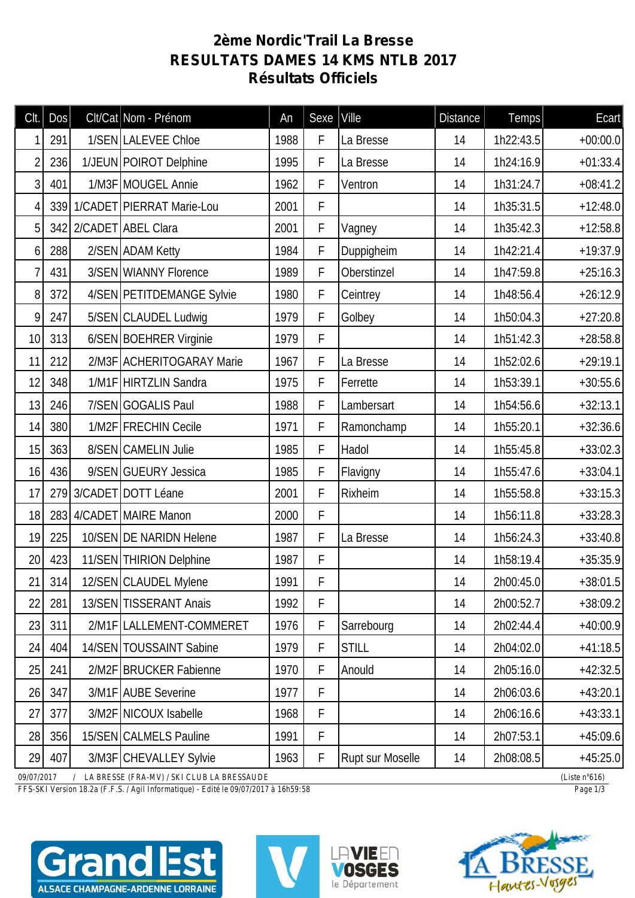## **2ème Nordic'Trail La Bresse RESULTATS DAMES 14 KMS NTLB 2017 Résultats Officiels**

| Clt.                                                       | <b>Dos</b> |  | Clt/Cat Nom - Prénom          | An   | Sexe   Ville |                  | <b>Distance</b>  | Temps     | <b>Ecart</b> |
|------------------------------------------------------------|------------|--|-------------------------------|------|--------------|------------------|------------------|-----------|--------------|
|                                                            | 291        |  | 1/SEN LALEVEE Chloe           | 1988 | F            | La Bresse        | 14               | 1h22:43.5 | $+00:00.0$   |
| $\overline{2}$                                             | 236        |  | 1/JEUN POIROT Delphine        | 1995 | F            | La Bresse        | 14               | 1h24:16.9 | $+01:33.4$   |
| 3                                                          | 401        |  | 1/M3F MOUGEL Annie            | 1962 | F            | Ventron          | 14               | 1h31:24.7 | $+08:41.2$   |
| 4                                                          |            |  | 339 1/CADET PIERRAT Marie-Lou | 2001 | F            |                  | 14               | 1h35:31.5 | $+12:48.0$   |
| 5                                                          |            |  | 342 2/CADET ABEL Clara        | 2001 | F            | Vagney           | 14               | 1h35:42.3 | $+12:58.8$   |
| 6                                                          | 288        |  | 2/SEN ADAM Ketty              | 1984 | F            | Duppigheim       | 14               | 1h42:21.4 | $+19:37.9$   |
| 7                                                          | 431        |  | 3/SEN WIANNY Florence         | 1989 | F            | Oberstinzel      | 14               | 1h47:59.8 | $+25:16.3$   |
| 8                                                          | 372        |  | 4/SEN PETITDEMANGE Sylvie     | 1980 | F            | Ceintrey         | 14               | 1h48:56.4 | $+26:12.9$   |
| 9                                                          | 247        |  | 5/SEN CLAUDEL Ludwig          | 1979 | F            | Golbey           | 14               | 1h50:04.3 | $+27:20.8$   |
| 10                                                         | 313        |  | 6/SEN BOEHRER Virginie        | 1979 | F            |                  | 14               | 1h51:42.3 | $+28:58.8$   |
| 11                                                         | 212        |  | 2/M3F ACHERITOGARAY Marie     | 1967 | F            | La Bresse        | 14               | 1h52:02.6 | $+29:19.1$   |
| 12                                                         | 348        |  | 1/M1F HIRTZLIN Sandra         | 1975 | F            | Ferrette         | 14               | 1h53:39.1 | $+30:55.6$   |
| 13                                                         | 246        |  | 7/SEN GOGALIS Paul            | 1988 | F            | Lambersart       | 14               | 1h54:56.6 | $+32:13.1$   |
| 14                                                         | 380        |  | 1/M2F FRECHIN Cecile          | 1971 | F            | Ramonchamp       | 14               | 1h55:20.1 | $+32:36.6$   |
| 15                                                         | 363        |  | 8/SEN CAMELIN Julie           | 1985 | F            | Hadol            | 14               | 1h55:45.8 | $+33:02.3$   |
| 16                                                         | 436        |  | 9/SEN GUEURY Jessica          | 1985 | F            | Flavigny         | 14               | 1h55:47.6 | $+33:04.1$   |
| 17                                                         |            |  | 279 3/CADET DOTT Léane        | 2001 | F            | Rixheim          | 14               | 1h55:58.8 | $+33:15.3$   |
| 18                                                         |            |  | 283 4/CADET MAIRE Manon       | 2000 | F            |                  | 14               | 1h56:11.8 | $+33:28.3$   |
| 19                                                         | 225        |  | 10/SEN DE NARIDN Helene       | 1987 | F            | La Bresse        | 14               | 1h56:24.3 | $+33:40.8$   |
| 20                                                         | 423        |  | 11/SEN THIRION Delphine       | 1987 | F            |                  | 14               | 1h58:19.4 | $+35:35.9$   |
| 21                                                         | 314        |  | 12/SEN CLAUDEL Mylene         | 1991 | F            |                  | 14               | 2h00:45.0 | $+38:01.5$   |
| 22                                                         | 281        |  | 13/SEN TISSERANT Anais        | 1992 | F            |                  | 14               | 2h00:52.7 | $+38:09.2$   |
| 23                                                         | 311        |  | 2/M1F LALLEMENT-COMMERET      | 1976 | F            | Sarrebourg       | 14               | 2h02:44.4 | $+40:00.9$   |
| 24                                                         | 404        |  | 14/SEN TOUSSAINT Sabine       | 1979 | F            | <b>STILL</b>     | 14               | 2h04:02.0 | $+41:18.5$   |
| 25                                                         | 241        |  | 2/M2F BRUCKER Fabienne        | 1970 | F            | Anould           | 14               | 2h05:16.0 | $+42:32.5$   |
| 26                                                         | 347        |  | 3/M1F AUBE Severine           | 1977 | F            |                  | 14               | 2h06:03.6 | $+43:20.1$   |
| 27                                                         | 377        |  | 3/M2F NICOUX Isabelle         | 1968 | F            |                  | 14               | 2h06:16.6 | $+43:33.1$   |
| 28                                                         | 356        |  | 15/SEN CALMELS Pauline        | 1991 | F            |                  | 14               | 2h07:53.1 | $+45:09.6$   |
| 29                                                         | 407        |  | 3/M3F CHEVALLEY Sylvie        | 1963 | F            | Rupt sur Moselle | 14               | 2h08:08.5 | $+45:25.0$   |
| 09/07/2017<br>/ LA BRESSE (FRA-MV) / SKI CLUB LA BRESSAUDE |            |  |                               |      |              |                  | (Liste $n°616$ ) |           |              |

*FFS-SKI Version 18.2a (F.F.S. / Agil Informatique) - Edité le 09/07/2017 à 16h59:58 Page 1/3*







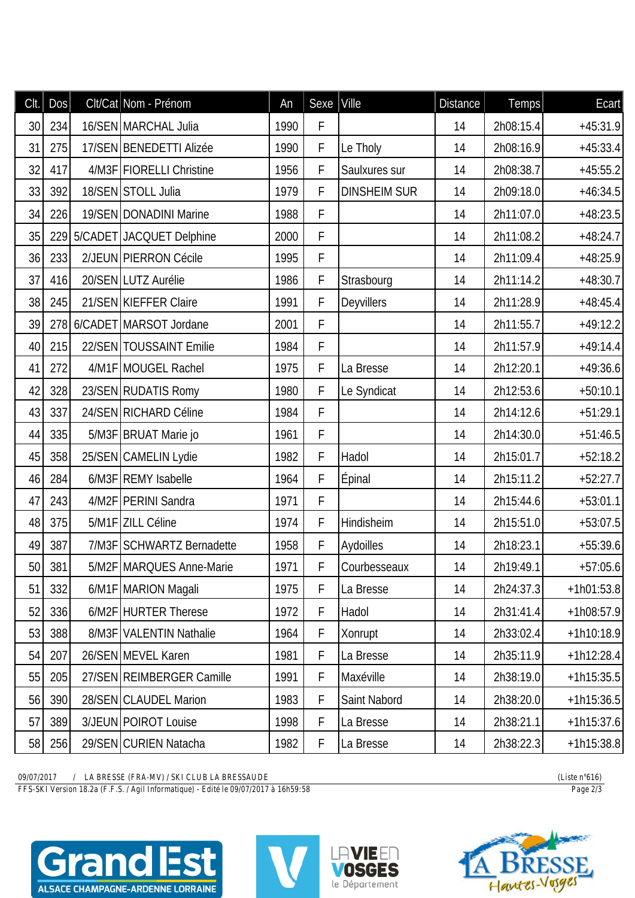| Clt. | DOS | Clt/Cat Nom - Prénom       | An   | Sexe Ville |                     | <b>Distance</b> | Temps     | Ecart        |
|------|-----|----------------------------|------|------------|---------------------|-----------------|-----------|--------------|
| 30   | 234 | 16/SEN MARCHAL Julia       | 1990 | F          |                     | 14              | 2h08:15.4 | $+45:31.9$   |
| 31   | 275 | 17/SEN BENEDETTI Alizée    | 1990 | F          | Le Tholy            | 14              | 2h08:16.9 | $+45:33.4$   |
| 32   | 417 | 4/M3F FIORELLI Christine   | 1956 | F          | Saulxures sur       | 14              | 2h08:38.7 | $+45:55.2$   |
| 33   | 392 | 18/SEN STOLL Julia         | 1979 | F          | <b>DINSHEIM SUR</b> | 14              | 2h09:18.0 | $+46:34.5$   |
| 34   | 226 | 19/SEN DONADINI Marine     | 1988 | F          |                     | 14              | 2h11:07.0 | $+48:23.5$   |
| 35   | 229 | 5/CADET JACQUET Delphine   | 2000 | F          |                     | 14              | 2h11:08.2 | $+48:24.7$   |
| 36   | 233 | 2/JEUN PIERRON Cécile      | 1995 | F          |                     | 14              | 2h11:09.4 | $+48:25.9$   |
| 37   | 416 | 20/SEN LUTZ Aurélie        | 1986 | F          | Strasbourg          | 14              | 2h11:14.2 | $+48:30.7$   |
| 38   | 245 | 21/SEN KIEFFER Claire      | 1991 | F          | Deyvillers          | 14              | 2h11:28.9 | $+48:45.4$   |
| 39   |     | 278 6/CADET MARSOT Jordane | 2001 | F          |                     | 14              | 2h11:55.7 | $+49:12.2$   |
| 40   | 215 | 22/SEN TOUSSAINT Emilie    | 1984 | F          |                     | 14              | 2h11:57.9 | $+49:14.4$   |
| 41   | 272 | 4/M1F MOUGEL Rachel        | 1975 | F          | La Bresse           | 14              | 2h12:20.1 | $+49:36.6$   |
| 42   | 328 | 23/SEN RUDATIS Romy        | 1980 | F          | Le Syndicat         | 14              | 2h12:53.6 | $+50:10.1$   |
| 43   | 337 | 24/SEN RICHARD Céline      | 1984 | F          |                     | 14              | 2h14:12.6 | $+51:29.1$   |
| 44   | 335 | 5/M3F BRUAT Marie jo       | 1961 | F          |                     | 14              | 2h14:30.0 | $+51:46.5$   |
| 45   | 358 | 25/SEN CAMELIN Lydie       | 1982 | F          | Hadol               | 14              | 2h15:01.7 | $+52:18.2$   |
| 46   | 284 | 6/M3F REMY Isabelle        | 1964 | F          | Epinal              | 14              | 2h15:11.2 | $+52:27.7$   |
| 47   | 243 | 4/M2F   PERINI Sandra      | 1971 | F          |                     | 14              | 2h15:44.6 | $+53:01.1$   |
| 48   | 375 | 5/M1F ZILL Céline          | 1974 | F          | Hindisheim          | 14              | 2h15:51.0 | $+53:07.5$   |
| 49   | 387 | 7/M3F SCHWARTZ Bernadette  | 1958 | F          | Aydoilles           | 14              | 2h18:23.1 | $+55:39.6$   |
| 50   | 381 | 5/M2F   MARQUES Anne-Marie | 1971 | F          | Courbesseaux        | 14              | 2h19:49.1 | $+57:05.6$   |
| 51   | 332 | 6/M1F MARION Magali        | 1975 | F          | La Bresse           | 14              | 2h24:37.3 | $+1h01:53.8$ |
| 52   | 336 | 6/M2F HURTER Therese       | 1972 | F          | Hadol               | 14              | 2h31:41.4 | $+1h08:57.9$ |
| 53   | 388 | 8/M3F VALENTIN Nathalie    | 1964 | F          | Xonrupt             | 14              | 2h33:02.4 | $+1h10:18.9$ |
| 54   | 207 | 26/SEN MEVEL Karen         | 1981 | F          | La Bresse           | 14              | 2h35:11.9 | $+1h12:28.4$ |
| 55   | 205 | 27/SEN REIMBERGER Camille  | 1991 | F          | Maxéville           | 14              | 2h38:19.0 | $+1h15:35.5$ |
| 56   | 390 | 28/SEN CLAUDEL Marion      | 1983 | F          | Saint Nabord        | 14              | 2h38:20.0 | $+1h15:36.5$ |
| 57   | 389 | 3/JEUN POIROT Louise       | 1998 | F          | La Bresse           | 14              | 2h38:21.1 | $+1h15:37.6$ |
| 58   | 256 | 29/SEN CURIEN Natacha      | 1982 | F          | La Bresse           | 14              | 2h38:22.3 | $+1h15:38.8$ |

09/07/2017 / LA BRESSE (FRA-MV) / SKI CLUB LA BRESSAUDE<br>FFS-SKI Version 18.2a (F.F.S. / Agil Informatique) - Edité le 09/07/2017 à 16h59:58

(Liste  $n^{\circ}616$ ) Page  $2/3$